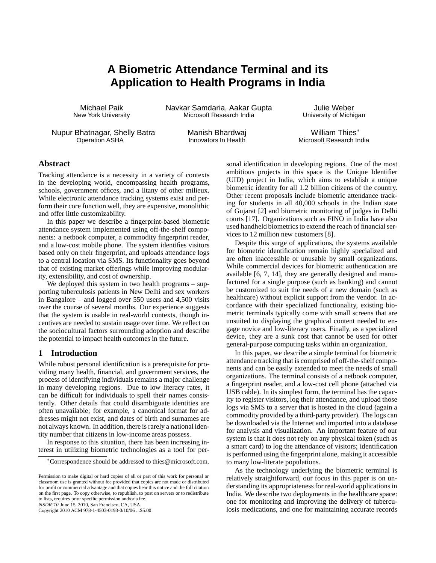# **A Biometric Attendance Terminal and its Application to Health Programs in India**

Michael Paik New York University

Nupur Bhatnagar, Shelly Batra Operation ASHA

Navkar Samdaria, Aakar Gupta Microsoft Research India

Julie Weber University of Michigan

Manish Bhardwaj Innovators In Health

William Thies<sup>\*</sup> Microsoft Research India

## **Abstract**

Tracking attendance is a necessity in a variety of contexts in the developing world, encompassing health programs, schools, government offices, and a litany of other milieux. While electronic attendance tracking systems exist and perform their core function well, they are expensive, monolithic and offer little customizability.

In this paper we describe a fingerprint-based biometric attendance system implemented using off-the-shelf components: a netbook computer, a commodity fingerprint reader, and a low-cost mobile phone. The system identifies visitors based only on their fingerprint, and uploads attendance logs to a central location via SMS. Its functionality goes beyond that of existing market offerings while improving modularity, extensibility, and cost of ownership.

We deployed this system in two health programs – supporting tuberculosis patients in New Delhi and sex workers in Bangalore – and logged over 550 users and 4,500 visits over the course of several months. Our experience suggests that the system is usable in real-world contexts, though incentives are needed to sustain usage over time. We reflect on the sociocultural factors surrounding adoption and describe the potential to impact health outcomes in the future.

## **1 Introduction**

While robust personal identification is a prerequisite for providing many health, financial, and government services, the process of identifying individuals remains a major challenge in many developing regions. Due to low literacy rates, it can be difficult for individuals to spell their names consistently. Other details that could disambiguate identities are often unavailable; for example, a canonical format for addresses might not exist, and dates of birth and surnames are not always known. In addition, there is rarely a national identity number that citizens in low-income areas possess.

In response to this situation, there has been increasing interest in utilizing biometric technologies as a tool for per-

NSDR'10 June 15, 2010, San Francisco, CA, USA.

Copyright 2010 ACM 978-1-4503-0193-0/10/06 ...\$5.00

sonal identification in developing regions. One of the most ambitious projects in this space is the Unique Identifier (UID) project in India, which aims to establish a unique biometric identity for all 1.2 billion citizens of the country. Other recent proposals include biometric attendance tracking for students in all 40,000 schools in the Indian state of Gujarat [2] and biometric monitoring of judges in Delhi courts [17]. Organizations such as FINO in India have also used handheld biometrics to extend the reach of financial services to 12 million new customers [8].

Despite this surge of applications, the systems available for biometric identification remain highly specialized and are often inaccessible or unusable by small organizations. While commercial devices for biometric authentication are available [6, 7, 14], they are generally designed and manufactured for a single purpose (such as banking) and cannot be customized to suit the needs of a new domain (such as healthcare) without explicit support from the vendor. In accordance with their specialized functionality, existing biometric terminals typically come with small screens that are unsuited to displaying the graphical content needed to engage novice and low-literacy users. Finally, as a specialized device, they are a sunk cost that cannot be used for other general-purpose computing tasks within an organization.

In this paper, we describe a simple terminal for biometric attendance tracking that is comprised of off-the-shelf components and can be easily extended to meet the needs of small organizations. The terminal consists of a netbook computer, a fingerprint reader, and a low-cost cell phone (attached via USB cable). In its simplest form, the terminal has the capacity to register visitors, log their attendance, and upload those logs via SMS to a server that is hosted in the cloud (again a commodity provided by a third-party provider). The logs can be downloaded via the Internet and imported into a database for analysis and visualization. An important feature of our system is that it does not rely on any physical token (such as a smart card) to log the attendance of visitors; identification is performed using the fingerprint alone, making it accessible to many low-literate populations.

As the technology underlying the biometric terminal is relatively straightforward, our focus in this paper is on understanding its appropriateness for real-world applications in India. We describe two deployments in the healthcare space: one for monitoring and improving the delivery of tuberculosis medications, and one for maintaining accurate records

<sup>∗</sup>Correspondence should be addressed to thies@microsoft.com.

Permission to make digital or hard copies of all or part of this work for personal or classroom use is granted without fee provided that copies are not made or distributed for profit or commercial advantage and that copies bear this notice and the full citation on the first page. To copy otherwise, to republish, to post on servers or to redistribute to lists, requires prior specific permission and/or a fee.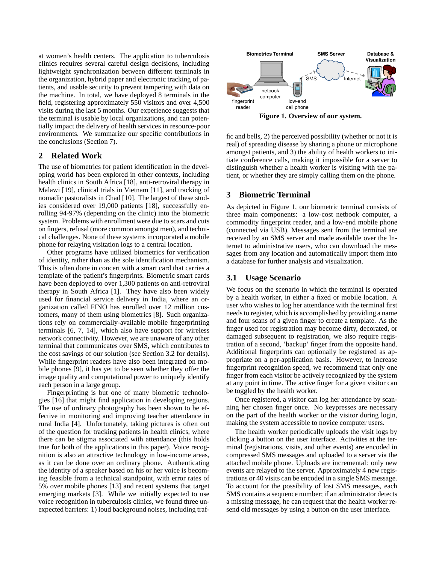at women's health centers. The application to tuberculosis clinics requires several careful design decisions, including lightweight synchronization between different terminals in the organization, hybrid paper and electronic tracking of patients, and usable security to prevent tampering with data on the machine. In total, we have deployed 8 terminals in the field, registering approximately 550 visitors and over 4,500 visits during the last 5 months. Our experience suggests that the terminal is usable by local organizations, and can potentially impact the delivery of health services in resource-poor environments. We summarize our specific contributions in the conclusions (Section 7).

### **2 Related Work**

The use of biometrics for patient identification in the developing world has been explored in other contexts, including health clinics in South Africa [18], anti-retroviral therapy in Malawi [19], clinical trials in Vietnam [11], and tracking of nomadic pastoralists in Chad [10]. The largest of these studies considered over 19,000 patients [18], successfully enrolling 94-97% (depending on the clinic) into the biometric system. Problems with enrollment were due to scars and cuts on fingers, refusal (more common amongst men), and technical challenges. None of these systems incorporated a mobile phone for relaying visitation logs to a central location.

Other programs have utilized biometrics for verification of identity, rather than as the sole identification mechanism. This is often done in concert with a smart card that carries a template of the patient's fingerprints. Biometric smart cards have been deployed to over 1,300 patients on anti-retroviral therapy in South Africa [1]. They have also been widely used for financial service delivery in India, where an organization called FINO has enrolled over 12 million customers, many of them using biometrics [8]. Such organizations rely on commercially-available mobile fingerprinting terminals [6, 7, 14], which also have support for wireless network connectivity. However, we are unaware of any other terminal that communicates over SMS, which contributes to the cost savings of our solution (see Section 3.2 for details). While fingerprint readers have also been integrated on mobile phones [9], it has yet to be seen whether they offer the image quality and computational power to uniquely identify each person in a large group.

Fingerprinting is but one of many biometric technologies [16] that might find application in developing regions. The use of ordinary photography has been shown to be effective in monitoring and improving teacher attendance in rural India [4]. Unfortunately, taking pictures is often out of the question for tracking patients in health clinics, where there can be stigma associated with attendance (this holds true for both of the applications in this paper). Voice recognition is also an attractive technology in low-income areas, as it can be done over an ordinary phone. Authenticating the identity of a speaker based on his or her voice is becoming feasible from a technical standpoint, with error rates of 5% over mobile phones [13] and recent systems that target emerging markets [3]. While we initially expected to use voice recognition in tuberculosis clinics, we found three unexpected barriers: 1) loud background noises, including traf-



**Figure 1. Overview of our system.**

fic and bells, 2) the perceived possibility (whether or not it is real) of spreading disease by sharing a phone or microphone amongst patients, and 3) the ability of health workers to initiate conference calls, making it impossible for a server to distinguish whether a health worker is visiting with the patient, or whether they are simply calling them on the phone.

## **3 Biometric Terminal**

As depicted in Figure 1, our biometric terminal consists of three main components: a low-cost netbook computer, a commodity fingerprint reader, and a low-end mobile phone (connected via USB). Messages sent from the terminal are received by an SMS server and made available over the Internet to administrative users, who can download the messages from any location and automatically import them into a database for further analysis and visualization.

## **3.1 Usage Scenario**

We focus on the scenario in which the terminal is operated by a health worker, in either a fixed or mobile location. A user who wishes to log her attendance with the terminal first needs to register, which is accomplished by providing a name and four scans of a given finger to create a template. As the finger used for registration may become dirty, decorated, or damaged subsequent to registration, we also require registration of a second, 'backup' finger from the opposite hand. Additional fingerprints can optionally be registered as appropriate on a per-application basis. However, to increase fingerprint recognition speed, we recommend that only one finger from each visitor be actively recognized by the system at any point in time. The active finger for a given visitor can be toggled by the health worker.

Once registered, a visitor can log her attendance by scanning her chosen finger once. No keypresses are necessary on the part of the health worker or the visitor during login, making the system accessible to novice computer users.

The health worker periodically uploads the visit logs by clicking a button on the user interface. Activities at the terminal (registrations, visits, and other events) are encoded in compressed SMS messages and uploaded to a server via the attached mobile phone. Uploads are incremental: only new events are relayed to the server. Approximately 4 new registrations or 40 visits can be encoded in a single SMS message. To account for the possibility of lost SMS messages, each SMS contains a sequence number; if an administrator detects a missing message, he can request that the health worker resend old messages by using a button on the user interface.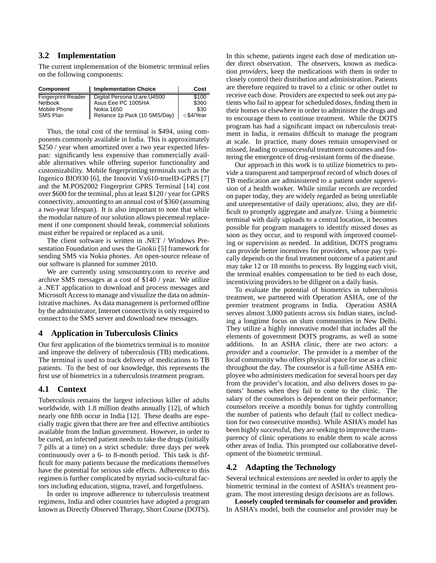## **3.2 Implementation**

The current implementation of the biometric terminal relies on the following components:

| Component                 | <b>Implementation Choice</b>  | Cost         |
|---------------------------|-------------------------------|--------------|
| <b>Fingerprint Reader</b> | Digital Persona U.are.U4500   | \$100        |
| Netbook                   | Asus Eee PC 1005HA            | \$360        |
| Mobile Phone              | Nokia 1650                    | \$30         |
| SMS Plan                  | Reliance 1p Pack (10 SMS/Day) | $<$ \$4/Year |

Thus, the total cost of the terminal is \$494, using components commonly available in India. This is approximately \$250 / year when amortized over a two year expected lifespan: significantly less expensive than commercially available alternatives while offering superior functionality and customizability. Mobile fingerprinting terminals such as the Ingenico BIO930 [6], the Innoviti Vx610-trueID-GPRS [7] and the M.POS2002 Fingerprint GPRS Terminal [14] cost over \$600 for the terminal, plus at least \$120 / year for GPRS connectivity, amounting to an annual cost of \$360 (assuming a two-year lifespan). It is also important to note that while the modular nature of our solution allows piecemeal replacement if one component should break, commercial solutions must either be repaired or replaced as a unit.

The client software is written in .NET / Windows Presentation Foundation and uses the Gnokii [5] framework for sending SMS via Nokia phones. An open-source release of our software is planned for summer 2010.

We are currently using smscountry.com to receive and archive SMS messages at a cost of \$140 / year. We utilize a .NET application to download and process messages and Microsoft Access to manage and visualize the data on administrative machines. As data management is performed offline by the administrator, Internet connectivity is only required to connect to the SMS server and download new messages.

#### **4 Application in Tuberculosis Clinics**

Our first application of the biometrics terminal is to monitor and improve the delivery of tuberculosis (TB) medications. The terminal is used to track delivery of medications to TB patients. To the best of our knowledge, this represents the first use of biometrics in a tuberculosis treatment program.

## **4.1 Context**

Tuberculosis remains the largest infectious killer of adults worldwide, with 1.8 million deaths annually [12], of which nearly one fifth occur in India [12]. These deaths are especially tragic given that there are free and effective antibiotics available from the Indian government. However, in order to be cured, an infected patient needs to take the drugs (initially 7 pills at a time) on a strict schedule: three days per week continuously over a 6- to 8-month period. This task is difficult for many patients because the medications themselves have the potential for serious side effects. Adherence to this regimen is further complicated by myriad socio-cultural factors including education, stigma, travel, and forgetfulness.

In order to improve adherence to tuberculosis treatment regimens, India and other countries have adopted a program known as Directly Observed Therapy, Short Course (DOTS). In this scheme, patients ingest each dose of medication under direct observation. The observers, known as medication *providers*, keep the medications with them in order to closely control their distribution and administration. Patients are therefore required to travel to a clinic or other outlet to receive each dose. Providers are expected to seek out any patients who fail to appear for scheduled doses, finding them in their homes or elsewhere in order to administer the drugs and to encourage them to continue treatment. While the DOTS program has had a significant impact on tuberculosis treatment in India, it remains difficult to manage the program at scale. In practice, many doses remain unsupervised or missed, leading to unsuccessful treatment outcomes and fostering the emergence of drug-resistant forms of the disease.

Our approach in this work is to utilize biometrics to provide a transparent and tamperproof record of which doses of TB medication are administered to a patient under supervision of a health worker. While similar records are recorded on paper today, they are widely regarded as being unreliable and unrepresentative of daily operations; also, they are difficult to promptly aggregate and analyze. Using a biometric terminal with daily uploads to a central location, it becomes possible for program managers to identify missed doses as soon as they occur, and to respond with improved counseling or supervision as needed. In addition, DOTS programs can provide better incentives for providers, whose pay typically depends on the final treatment outcome of a patient and may take 12 or 18 months to process. By logging each visit, the terminal enables compensation to be tied to each dose, incentivizing providers to be diligent on a daily basis.

To evaluate the potential of biometrics in tuberculosis treatment, we partnered with Operation ASHA, one of the premier treatment programs in India. Operation ASHA serves almost 3,000 patients across six Indian states, including a longtime focus on slum communities in New Delhi. They utilize a highly innovative model that includes all the elements of government DOTS programs, as well as some additions. In an ASHA clinic, there are two actors: a *provider* and a *counselor*. The provider is a member of the local community who offers physical space for use as a clinic throughout the day. The counselor is a full-time ASHA employee who administers medication for several hours per day from the provider's location, and also delivers doses to patients' homes when they fail to come to the clinic. The salary of the counselors is dependent on their performance; counselors receive a monthly bonus for tightly controlling the number of patients who default (fail to collect medication for two consecutive months). While ASHA's model has been highly successful, they are seeking to improve the transparency of clinic operations to enable them to scale across other areas of India. This prompted our collaborative development of the biometric terminal.

## **4.2 Adapting the Technology**

Several technical extensions are needed in order to apply the biometric terminal in the context of ASHA's treatment program. The most interesting design decisions are as follows.

**Loosely coupled terminals for counselor and provider.** In ASHA's model, both the counselor and provider may be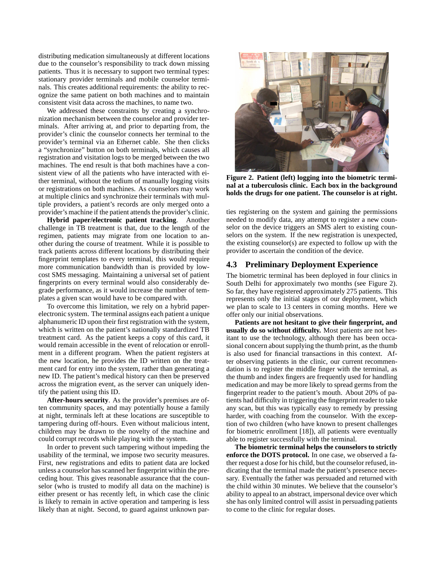distributing medication simultaneously at different locations due to the counselor's responsibility to track down missing patients. Thus it is necessary to support two terminal types: stationary provider terminals and mobile counselor terminals. This creates additional requirements: the ability to recognize the same patient on both machines and to maintain consistent visit data across the machines, to name two.

We addressed these constraints by creating a synchronization mechanism between the counselor and provider terminals. After arriving at, and prior to departing from, the provider's clinic the counselor connects her terminal to the provider's terminal via an Ethernet cable. She then clicks a "synchronize" button on both terminals, which causes all registration and visitation logs to be merged between the two machines. The end result is that both machines have a consistent view of all the patients who have interacted with either terminal, without the tedium of manually logging visits or registrations on both machines. As counselors may work at multiple clinics and synchronize their terminals with multiple providers, a patient's records are only merged onto a provider's machine if the patient attends the provider's clinic.

**Hybrid paper/electronic patient tracking**. Another challenge in TB treatment is that, due to the length of the regimen, patients may migrate from one location to another during the course of treatment. While it is possible to track patients across different locations by distributing their fingerprint templates to every terminal, this would require more communication bandwidth than is provided by lowcost SMS messaging. Maintaining a universal set of patient fingerprints on every terminal would also considerably degrade performance, as it would increase the number of templates a given scan would have to be compared with.

To overcome this limitation, we rely on a hybrid paperelectronic system. The terminal assigns each patient a unique alphanumeric ID upon their first registration with the system, which is written on the patient's nationally standardized TB treatment card. As the patient keeps a copy of this card, it would remain accessible in the event of relocation or enrollment in a different program. When the patient registers at the new location, he provides the ID written on the treatment card for entry into the system, rather than generating a new ID. The patient's medical history can then be preserved across the migration event, as the server can uniquely identify the patient using this ID.

**After-hours security**. As the provider's premises are often community spaces, and may potentially house a family at night, terminals left at these locations are susceptible to tampering during off-hours. Even without malicious intent, children may be drawn to the novelty of the machine and could corrupt records while playing with the system.

In order to prevent such tampering without impeding the usability of the terminal, we impose two security measures. First, new registrations and edits to patient data are locked unless a counselor has scanned her fingerprint within the preceding hour. This gives reasonable assurance that the counselor (who is trusted to modify all data on the machine) is either present or has recently left, in which case the clinic is likely to remain in active operation and tampering is less likely than at night. Second, to guard against unknown par-



**Figure 2. Patient (left) logging into the biometric terminal at a tuberculosis clinic. Each box in the background holds the drugs for one patient. The counselor is at right.**

ties registering on the system and gaining the permissions needed to modify data, any attempt to register a new counselor on the device triggers an SMS alert to existing counselors on the system. If the new registration is unexpected, the existing counselor(s) are expected to follow up with the provider to ascertain the condition of the device.

#### **4.3 Preliminary Deployment Experience**

The biometric terminal has been deployed in four clinics in South Delhi for approximately two months (see Figure 2). So far, they have registered approximately 275 patients. This represents only the initial stages of our deployment, which we plan to scale to 13 centers in coming months. Here we offer only our initial observations.

**Patients are not hesitant to give their fingerprint, and usually do so without difficulty.** Most patients are not hesitant to use the technology, although there has been occasional concern about supplying the thumb print, as the thumb is also used for financial transactions in this context. After observing patients in the clinic, our current recommendation is to register the middle finger with the terminal, as the thumb and index fingers are frequently used for handling medication and may be more likely to spread germs from the fingerprint reader to the patient's mouth. About 20% of patients had difficulty in triggering the fingerprint reader to take any scan, but this was typically easy to remedy by pressing harder, with coaching from the counselor. With the exception of two children (who have known to present challenges for biometric enrollment [18]), all patients were eventually able to register successfully with the terminal.

**The biometric terminal helps the counselors to strictly enforce the DOTS protocol.** In one case, we observed a father request a dose for his child, but the counselor refused, indicating that the terminal made the patient's presence necessary. Eventually the father was persuaded and returned with the child within 30 minutes. We believe that the counselor's ability to appeal to an abstract, impersonal device over which she has only limited control will assist in persuading patients to come to the clinic for regular doses.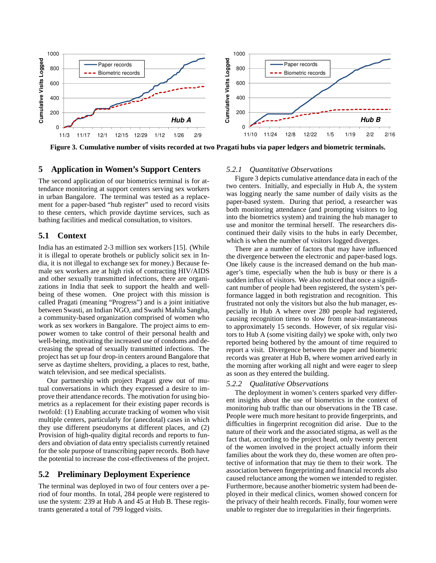

**Figure 3. Cumulative number of visits recorded at two Pragati hubs via paper ledgers and biometric terminals.**

### **5 Application in Women's Support Centers**

The second application of our biometrics terminal is for attendance monitoring at support centers serving sex workers in urban Bangalore. The terminal was tested as a replacement for a paper-based "hub register" used to record visits to these centers, which provide daytime services, such as bathing facilities and medical consultation, to visitors.

#### **5.1 Context**

India has an estimated 2-3 million sex workers [15]. (While it is illegal to operate brothels or publicly solicit sex in India, it is not illegal to exchange sex for money.) Because female sex workers are at high risk of contracting HIV/AIDS and other sexually transmitted infections, there are organizations in India that seek to support the health and wellbeing of these women. One project with this mission is called Pragati (meaning "Progress") and is a joint initiative between Swasti, an Indian NGO, and Swathi Mahila Sangha, a community-based organization comprised of women who work as sex workers in Bangalore. The project aims to empower women to take control of their personal health and well-being, motivating the increased use of condoms and decreasing the spread of sexually transmitted infections. The project has set up four drop-in centers around Bangalore that serve as daytime shelters, providing, a places to rest, bathe, watch television, and see medical specialists.

Our partnership with project Pragati grew out of mutual conversations in which they expressed a desire to improve their attendance records. The motivation for using biometrics as a replacement for their existing paper records is twofold: (1) Enabling accurate tracking of women who visit multiple centers, particularly for (anecdotal) cases in which they use different pseudonyms at different places, and (2) Provision of high-quality digital records and reports to funders and obviation of data entry specialists currently retained for the sole purpose of transcribing paper records. Both have the potential to increase the cost-effectiveness of the project.

## **5.2 Preliminary Deployment Experience**

The terminal was deployed in two of four centers over a period of four months. In total, 284 people were registered to use the system: 239 at Hub A and 45 at Hub B. These registrants generated a total of 799 logged visits.

#### *5.2.1 Quantitative Observations*

Figure 3 depicts cumulative attendance data in each of the two centers. Initially, and especially in Hub A, the system was logging nearly the same number of daily visits as the paper-based system. During that period, a researcher was both monitoring attendance (and prompting visitors to log into the biometrics system) and training the hub manager to use and monitor the terminal herself. The researchers discontinued their daily visits to the hubs in early December, which is when the number of visitors logged diverges.

There are a number of factors that may have influenced the divergence between the electronic and paper-based logs. One likely cause is the increased demand on the hub manager's time, especially when the hub is busy or there is a sudden influx of visitors. We also noticed that once a significant number of people had been registered, the system's performance lagged in both registration and recognition. This frustrated not only the visitors but also the hub manager, especially in Hub A where over 280 people had registered, causing recognition times to slow from near-instantaneous to approximately 15 seconds. However, of six regular visitors to Hub A (some visiting daily) we spoke with, only two reported being bothered by the amount of time required to report a visit. Divergence between the paper and biometric records was greater at Hub B, where women arrived early in the morning after working all night and were eager to sleep as soon as they entered the building.

#### *5.2.2 Qualitative Observations*

The deployment in women's centers sparked very different insights about the use of biometrics in the context of monitoring hub traffic than our observations in the TB case. People were much more hesitant to provide fingerprints, and difficulties in fingerprint recognition did arise. Due to the nature of their work and the associated stigma, as well as the fact that, according to the project head, only twenty percent of the women involved in the project actually inform their families about the work they do, these women are often protective of information that may tie them to their work. The association between fingerprinting and financial records also caused reluctance among the women we intended to register. Furthermore, because another biometric system had been deployed in their medical clinics, women showed concern for the privacy of their health records. Finally, four women were unable to register due to irregularities in their fingerprints.